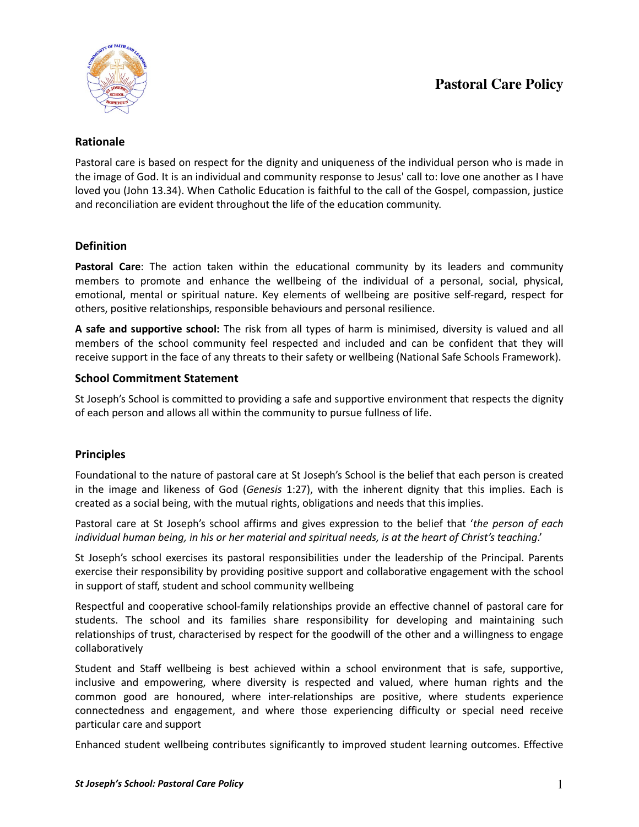

## **Rationale**

Pastoral care is based on respect for the dignity and uniqueness of the individual person who is made in the image of God. It is an individual and community response to Jesus' call to: love one another as I have loved you (John 13.34). When Catholic Education is faithful to the call of the Gospel, compassion, justice and reconciliation are evident throughout the life of the education community.

# **Definition**

**Pastoral Care**: The action taken within the educational community by its leaders and community members to promote and enhance the wellbeing of the individual of a personal, social, physical, emotional, mental or spiritual nature. Key elements of wellbeing are positive self-regard, respect for others, positive relationships, responsible behaviours and personal resilience.

**A safe and supportive school:** The risk from all types of harm is minimised, diversity is valued and all members of the school community feel respected and included and can be confident that they will receive support in the face of any threats to their safety or wellbeing (National Safe Schools Framework).

# **School Commitment Statement**

St Joseph's School is committed to providing a safe and supportive environment that respects the dignity of each person and allows all within the community to pursue fullness of life.

### **Principles**

Foundational to the nature of pastoral care at St Joseph's School is the belief that each person is created in the image and likeness of God (*Genesis* 1:27), with the inherent dignity that this implies. Each is created as a social being, with the mutual rights, obligations and needs that this implies.

Pastoral care at St Joseph's school affirms and gives expression to the belief that '*the person of each individual human being, in his or her material and spiritual needs, is at the heart of Christ's teaching*.'

St Joseph's school exercises its pastoral responsibilities under the leadership of the Principal. Parents exercise their responsibility by providing positive support and collaborative engagement with the school in support of staff, student and school community wellbeing

Respectful and cooperative school-family relationships provide an effective channel of pastoral care for students. The school and its families share responsibility for developing and maintaining such relationships of trust, characterised by respect for the goodwill of the other and a willingness to engage collaboratively

Student and Staff wellbeing is best achieved within a school environment that is safe, supportive, inclusive and empowering, where diversity is respected and valued, where human rights and the common good are honoured, where inter-relationships are positive, where students experience connectedness and engagement, and where those experiencing difficulty or special need receive particular care and support

Enhanced student wellbeing contributes significantly to improved student learning outcomes. Effective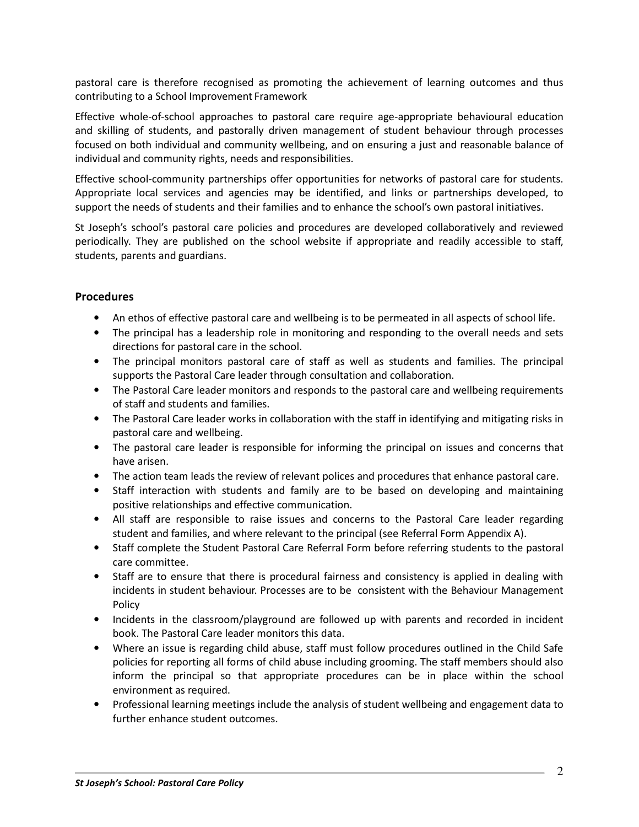pastoral care is therefore recognised as promoting the achievement of learning outcomes and thus contributing to a School Improvement Framework

Effective whole-of-school approaches to pastoral care require age-appropriate behavioural education and skilling of students, and pastorally driven management of student behaviour through processes focused on both individual and community wellbeing, and on ensuring a just and reasonable balance of individual and community rights, needs and responsibilities.

Effective school-community partnerships offer opportunities for networks of pastoral care for students. Appropriate local services and agencies may be identified, and links or partnerships developed, to support the needs of students and their families and to enhance the school's own pastoral initiatives.

St Joseph's school's pastoral care policies and procedures are developed collaboratively and reviewed periodically. They are published on the school website if appropriate and readily accessible to staff, students, parents and guardians.

### **Procedures**

- An ethos of effective pastoral care and wellbeing is to be permeated in all aspects of school life.
- The principal has a leadership role in monitoring and responding to the overall needs and sets directions for pastoral care in the school.
- The principal monitors pastoral care of staff as well as students and families. The principal supports the Pastoral Care leader through consultation and collaboration.
- The Pastoral Care leader monitors and responds to the pastoral care and wellbeing requirements of staff and students and families.
- The Pastoral Care leader works in collaboration with the staff in identifying and mitigating risks in pastoral care and wellbeing.
- The pastoral care leader is responsible for informing the principal on issues and concerns that have arisen.
- The action team leads the review of relevant polices and procedures that enhance pastoral care.
- Staff interaction with students and family are to be based on developing and maintaining positive relationships and effective communication.
- All staff are responsible to raise issues and concerns to the Pastoral Care leader regarding student and families, and where relevant to the principal (see Referral Form Appendix A).
- Staff complete the Student Pastoral Care Referral Form before referring students to the pastoral care committee.
- Staff are to ensure that there is procedural fairness and consistency is applied in dealing with incidents in student behaviour. Processes are to be consistent with the Behaviour Management Policy
- Incidents in the classroom/playground are followed up with parents and recorded in incident book. The Pastoral Care leader monitors this data.
- Where an issue is regarding child abuse, staff must follow procedures outlined in the Child Safe policies for reporting all forms of child abuse including grooming. The staff members should also inform the principal so that appropriate procedures can be in place within the school environment as required.
- Professional learning meetings include the analysis of student wellbeing and engagement data to further enhance student outcomes.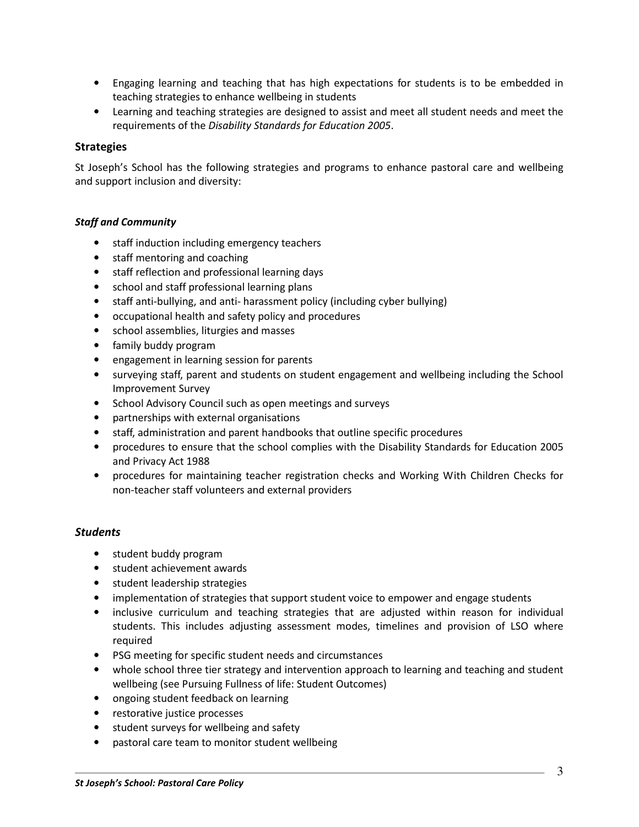- Engaging learning and teaching that has high expectations for students is to be embedded in teaching strategies to enhance wellbeing in students
- Learning and teaching strategies are designed to assist and meet all student needs and meet the requirements of the *Disability Standards for Education 2005*.

### **Strategies**

St Joseph's School has the following strategies and programs to enhance pastoral care and wellbeing and support inclusion and diversity:

### *Staff and Community*

- staff induction including emergency teachers
- staff mentoring and coaching
- staff reflection and professional learning days
- school and staff professional learning plans
- staff anti-bullying, and anti- harassment policy (including cyber bullying)
- occupational health and safety policy and procedures
- school assemblies, liturgies and masses
- family buddy program
- engagement in learning session for parents
- surveying staff, parent and students on student engagement and wellbeing including the School Improvement Survey
- School Advisory Council such as open meetings and surveys
- partnerships with external organisations
- staff, administration and parent handbooks that outline specific procedures
- procedures to ensure that the school complies with the Disability Standards for Education 2005 and Privacy Act 1988
- procedures for maintaining teacher registration checks and Working With Children Checks for non-teacher staff volunteers and external providers

#### *Students*

- student buddy program
- student achievement awards
- student leadership strategies
- implementation of strategies that support student voice to empower and engage students
- inclusive curriculum and teaching strategies that are adjusted within reason for individual students. This includes adjusting assessment modes, timelines and provision of LSO where required
- PSG meeting for specific student needs and circumstances
- whole school three tier strategy and intervention approach to learning and teaching and student wellbeing (see Pursuing Fullness of life: Student Outcomes)
- ongoing student feedback on learning
- restorative justice processes
- student surveys for wellbeing and safety
- pastoral care team to monitor student wellbeing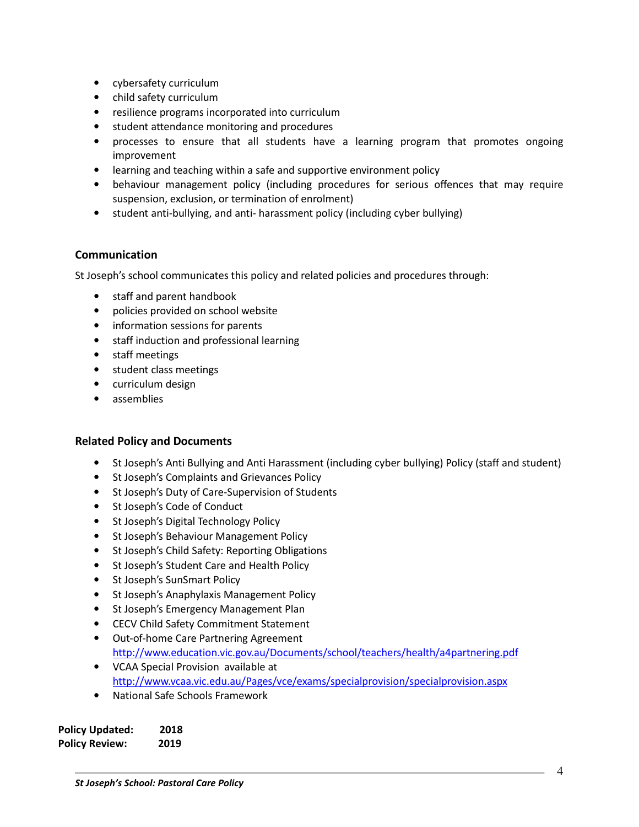- cybersafety curriculum
- child safety curriculum
- resilience programs incorporated into curriculum
- student attendance monitoring and procedures
- processes to ensure that all students have a learning program that promotes ongoing improvement
- learning and teaching within a safe and supportive environment policy
- behaviour management policy (including procedures for serious offences that may require suspension, exclusion, or termination of enrolment)
- student anti-bullying, and anti- harassment policy (including cyber bullying)

### **Communication**

St Joseph's school communicates this policy and related policies and procedures through:

- staff and parent handbook
- policies provided on school website
- information sessions for parents
- staff induction and professional learning
- staff meetings
- student class meetings
- curriculum design
- assemblies

### **Related Policy and Documents**

- St Joseph's Anti Bullying and Anti Harassment (including cyber bullying) Policy (staff and student)
- St Joseph's Complaints and Grievances Policy
- St Joseph's Duty of Care-Supervision of Students
- St Joseph's Code of Conduct
- St Joseph's Digital Technology Policy
- St Joseph's Behaviour Management Policy
- St Joseph's Child Safety: Reporting Obligations
- St Joseph's Student Care and Health Policy
- St Joseph's SunSmart Policy
- St Joseph's Anaphylaxis Management Policy
- St Joseph's Emergency Management Plan
- CECV Child Safety Commitment Statement
- Out-of-home Care Partnering Agreement http://www.education.vic.gov.au/Documents/school/teachers/health/a4partnering.pdf
- VCAA Special Provision available at http://www.vcaa.vic.edu.au/Pages/vce/exams/specialprovision/specialprovision.aspx
- National Safe Schools Framework

| <b>Policy Updated:</b> | 2018 |
|------------------------|------|
| <b>Policy Review:</b>  | 2019 |